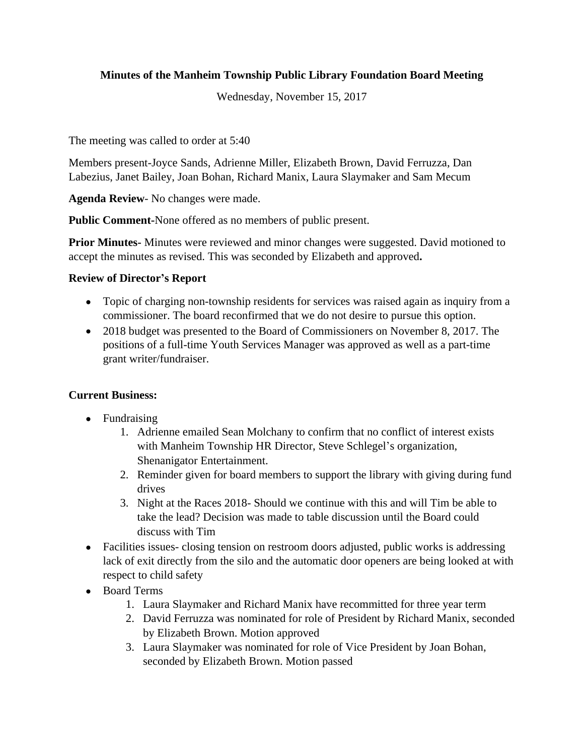# **Minutes of the Manheim Township Public Library Foundation Board Meeting**

Wednesday, November 15, 2017

The meeting was called to order at 5:40

Members present-Joyce Sands, Adrienne Miller, Elizabeth Brown, David Ferruzza, Dan Labezius, Janet Bailey, Joan Bohan, Richard Manix, Laura Slaymaker and Sam Mecum

**Agenda Review**- No changes were made.

**Public Comment-**None offered as no members of public present.

**Prior Minutes-** Minutes were reviewed and minor changes were suggested. David motioned to accept the minutes as revised. This was seconded by Elizabeth and approved**.**

# **Review of Director's Report**

- Topic of charging non-township residents for services was raised again as inquiry from a commissioner. The board reconfirmed that we do not desire to pursue this option.
- 2018 budget was presented to the Board of Commissioners on November 8, 2017. The positions of a full-time Youth Services Manager was approved as well as a part-time grant writer/fundraiser.

## **Current Business:**

- Fundraising
	- 1. Adrienne emailed Sean Molchany to confirm that no conflict of interest exists with Manheim Township HR Director, Steve Schlegel's organization, Shenanigator Entertainment.
	- 2. Reminder given for board members to support the library with giving during fund drives
	- 3. Night at the Races 2018- Should we continue with this and will Tim be able to take the lead? Decision was made to table discussion until the Board could discuss with Tim
- Facilities issues- closing tension on restroom doors adjusted, public works is addressing lack of exit directly from the silo and the automatic door openers are being looked at with respect to child safety
- Board Terms
	- 1. Laura Slaymaker and Richard Manix have recommitted for three year term
	- 2. David Ferruzza was nominated for role of President by Richard Manix, seconded by Elizabeth Brown. Motion approved
	- 3. Laura Slaymaker was nominated for role of Vice President by Joan Bohan, seconded by Elizabeth Brown. Motion passed